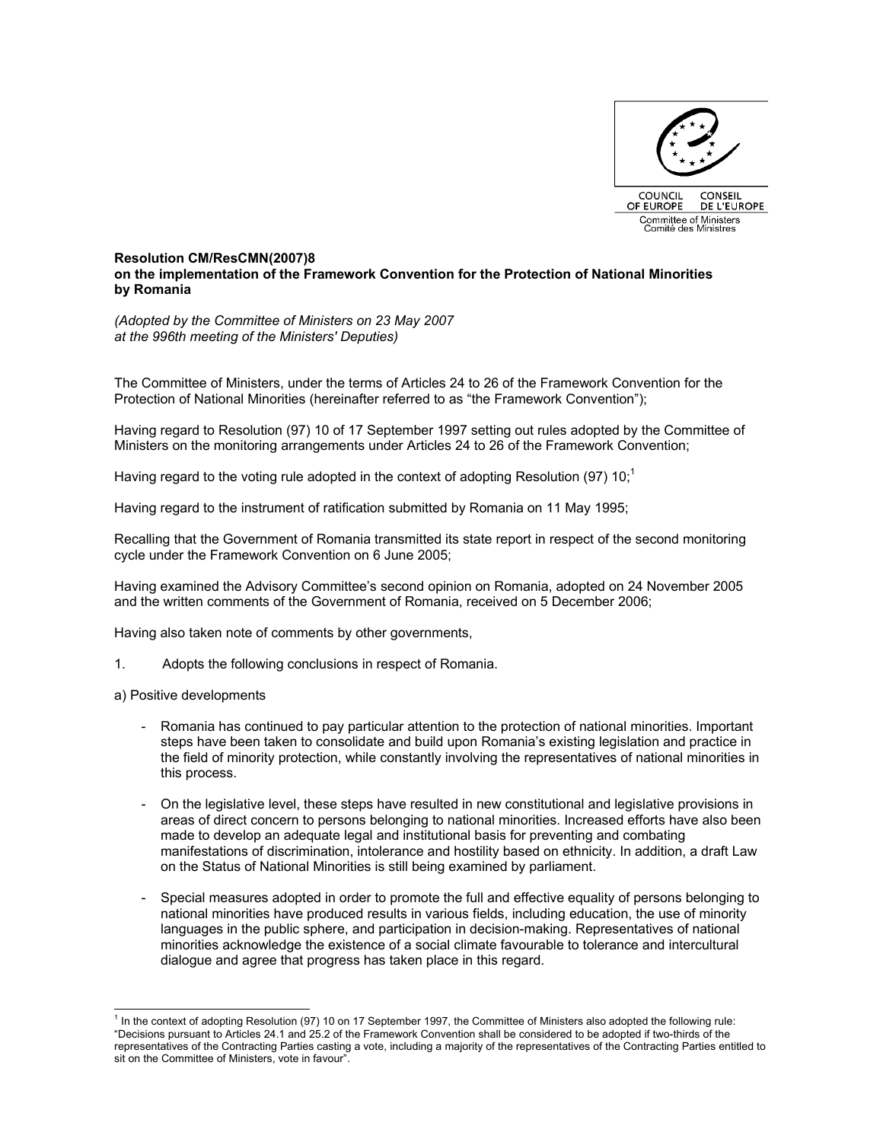

## **Resolution CM/ResCMN(2007)8 on the implementation of the Framework Convention for the Protection of National Minorities by Romania**

*(Adopted by the Committee of Ministers on 23 May 2007 at the 996th meeting of the Ministers' Deputies)* 

The Committee of Ministers, under the terms of Articles 24 to 26 of the Framework Convention for the Protection of National Minorities (hereinafter referred to as "the Framework Convention");

Having regard to Resolution (97) 10 of 17 September 1997 setting out rules adopted by the Committee of Ministers on the monitoring arrangements under Articles 24 to 26 of the Framework Convention;

Having regard to the voting rule adopted in the context of adopting Resolution (97) 10;<sup>1</sup>

Having regard to the instrument of ratification submitted by Romania on 11 May 1995;

Recalling that the Government of Romania transmitted its state report in respect of the second monitoring cycle under the Framework Convention on 6 June 2005;

Having examined the Advisory Committee's second opinion on Romania, adopted on 24 November 2005 and the written comments of the Government of Romania, received on 5 December 2006;

Having also taken note of comments by other governments,

- 1. Adopts the following conclusions in respect of Romania.
- a) Positive developments
	- Romania has continued to pay particular attention to the protection of national minorities. Important steps have been taken to consolidate and build upon Romania's existing legislation and practice in the field of minority protection, while constantly involving the representatives of national minorities in this process.
	- On the legislative level, these steps have resulted in new constitutional and legislative provisions in areas of direct concern to persons belonging to national minorities. Increased efforts have also been made to develop an adequate legal and institutional basis for preventing and combating manifestations of discrimination, intolerance and hostility based on ethnicity. In addition, a draft Law on the Status of National Minorities is still being examined by parliament.
	- Special measures adopted in order to promote the full and effective equality of persons belonging to national minorities have produced results in various fields, including education, the use of minority languages in the public sphere, and participation in decision-making. Representatives of national minorities acknowledge the existence of a social climate favourable to tolerance and intercultural dialogue and agree that progress has taken place in this regard.

 $\overline{a}$ 1 In the context of adopting Resolution (97) 10 on 17 September 1997, the Committee of Ministers also adopted the following rule: "Decisions pursuant to Articles 24.1 and 25.2 of the Framework Convention shall be considered to be adopted if two-thirds of the representatives of the Contracting Parties casting a vote, including a majority of the representatives of the Contracting Parties entitled to sit on the Committee of Ministers, vote in favour".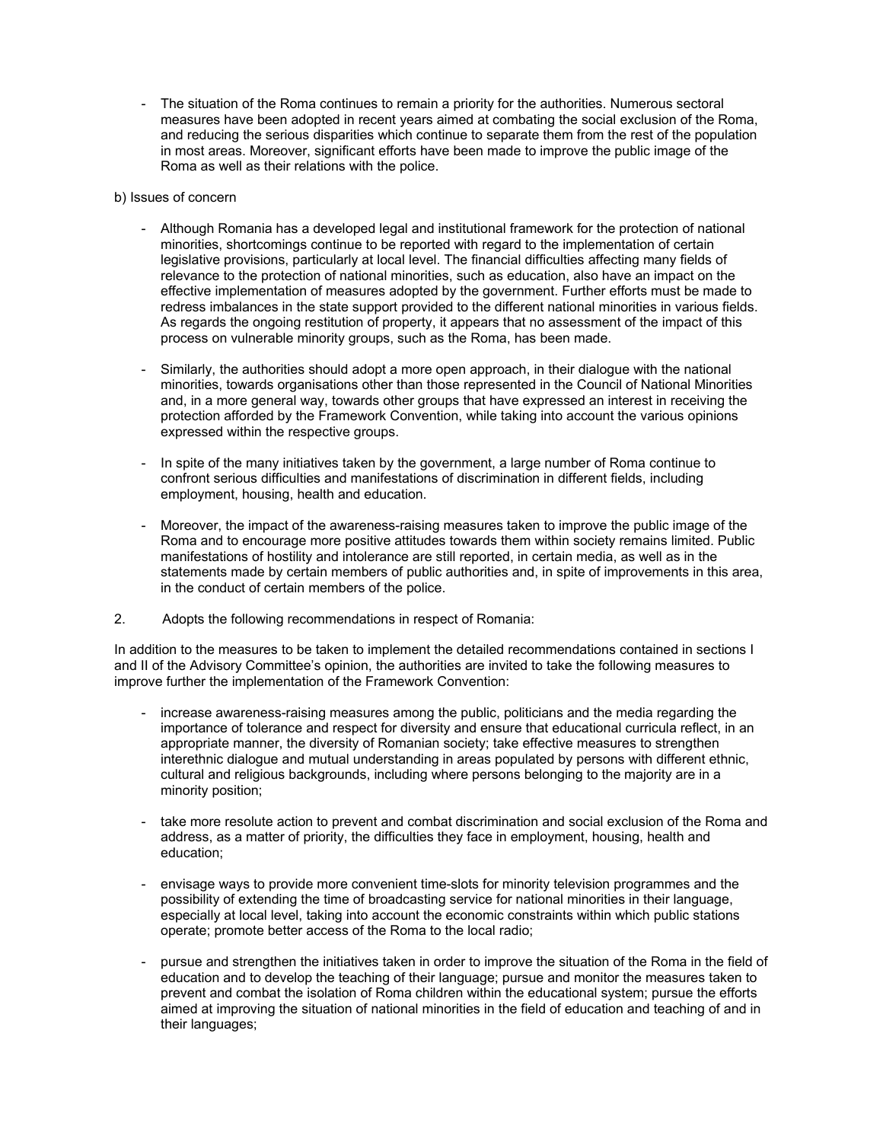- The situation of the Roma continues to remain a priority for the authorities. Numerous sectoral measures have been adopted in recent years aimed at combating the social exclusion of the Roma, and reducing the serious disparities which continue to separate them from the rest of the population in most areas. Moreover, significant efforts have been made to improve the public image of the Roma as well as their relations with the police.
- b) Issues of concern
	- Although Romania has a developed legal and institutional framework for the protection of national minorities, shortcomings continue to be reported with regard to the implementation of certain legislative provisions, particularly at local level. The financial difficulties affecting many fields of relevance to the protection of national minorities, such as education, also have an impact on the effective implementation of measures adopted by the government. Further efforts must be made to redress imbalances in the state support provided to the different national minorities in various fields. As regards the ongoing restitution of property, it appears that no assessment of the impact of this process on vulnerable minority groups, such as the Roma, has been made.
	- Similarly, the authorities should adopt a more open approach, in their dialogue with the national minorities, towards organisations other than those represented in the Council of National Minorities and, in a more general way, towards other groups that have expressed an interest in receiving the protection afforded by the Framework Convention, while taking into account the various opinions expressed within the respective groups.
	- In spite of the many initiatives taken by the government, a large number of Roma continue to confront serious difficulties and manifestations of discrimination in different fields, including employment, housing, health and education.
	- Moreover, the impact of the awareness-raising measures taken to improve the public image of the Roma and to encourage more positive attitudes towards them within society remains limited. Public manifestations of hostility and intolerance are still reported, in certain media, as well as in the statements made by certain members of public authorities and, in spite of improvements in this area, in the conduct of certain members of the police.
- 2. Adopts the following recommendations in respect of Romania:

In addition to the measures to be taken to implement the detailed recommendations contained in sections I and II of the Advisory Committee's opinion, the authorities are invited to take the following measures to improve further the implementation of the Framework Convention:

- increase awareness-raising measures among the public, politicians and the media regarding the importance of tolerance and respect for diversity and ensure that educational curricula reflect, in an appropriate manner, the diversity of Romanian society; take effective measures to strengthen interethnic dialogue and mutual understanding in areas populated by persons with different ethnic, cultural and religious backgrounds, including where persons belonging to the majority are in a minority position;
- take more resolute action to prevent and combat discrimination and social exclusion of the Roma and address, as a matter of priority, the difficulties they face in employment, housing, health and education;
- envisage ways to provide more convenient time-slots for minority television programmes and the possibility of extending the time of broadcasting service for national minorities in their language, especially at local level, taking into account the economic constraints within which public stations operate; promote better access of the Roma to the local radio;
- pursue and strengthen the initiatives taken in order to improve the situation of the Roma in the field of education and to develop the teaching of their language; pursue and monitor the measures taken to prevent and combat the isolation of Roma children within the educational system; pursue the efforts aimed at improving the situation of national minorities in the field of education and teaching of and in their languages;